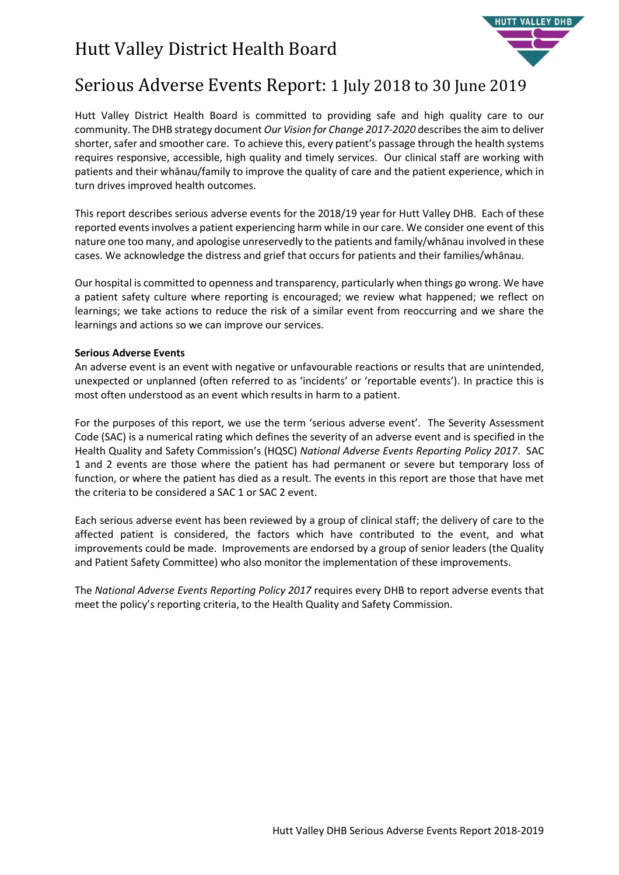# Hutt Valley District Health Board



### Serious Adverse Events Report: 1 July 2018 to 30 June 2019

Hutt Valley District Health Board is committed to providing safe and high quality care to our community. The DHB strategy document *Our Vision for Change 2017-2020* describes the aim to deliver shorter, safer and smoother care. To achieve this, every patient's passage through the health systems requires responsive, accessible, high quality and timely services. Our clinical staff are working with patients and their whānau/family to improve the quality of care and the patient experience, which in turn drives improved health outcomes.

This report describes serious adverse events for the 2018/19 year for Hutt Valley DHB. Each of these reported events involves a patient experiencing harm while in our care. We consider one event of this nature one too many, and apologise unreservedly to the patients and family/whānau involved in these cases. We acknowledge the distress and grief that occurs for patients and their families/whānau.

Our hospital is committed to openness and transparency, particularly when things go wrong. We have a patient safety culture where reporting is encouraged; we review what happened; we reflect on learnings; we take actions to reduce the risk of a similar event from reoccurring and we share the learnings and actions so we can improve our services.

#### **Serious Adverse Events**

An adverse event is an event with negative or unfavourable reactions or results that are unintended, unexpected or unplanned (often referred to as 'incidents' or 'reportable events'). In practice this is most often understood as an event which results in harm to a patient.

For the purposes of this report, we use the term 'serious adverse event'. The Severity Assessment Code (SAC) is a numerical rating which defines the severity of an adverse event and is specified in the Health Quality and Safety Commission's (HQSC) *National Adverse Events Reporting Policy 2017*. SAC 1 and 2 events are those where the patient has had permanent or severe but temporary loss of function, or where the patient has died as a result. The events in this report are those that have met the criteria to be considered a SAC 1 or SAC 2 event.

Each serious adverse event has been reviewed by a group of clinical staff; the delivery of care to the affected patient is considered, the factors which have contributed to the event, and what improvements could be made. Improvements are endorsed by a group of senior leaders (the Quality and Patient Safety Committee) who also monitor the implementation of these improvements.

The *National Adverse Events Reporting Policy 2017* requires every DHB to report adverse events that meet the policy's reporting criteria, to the Health Quality and Safety Commission.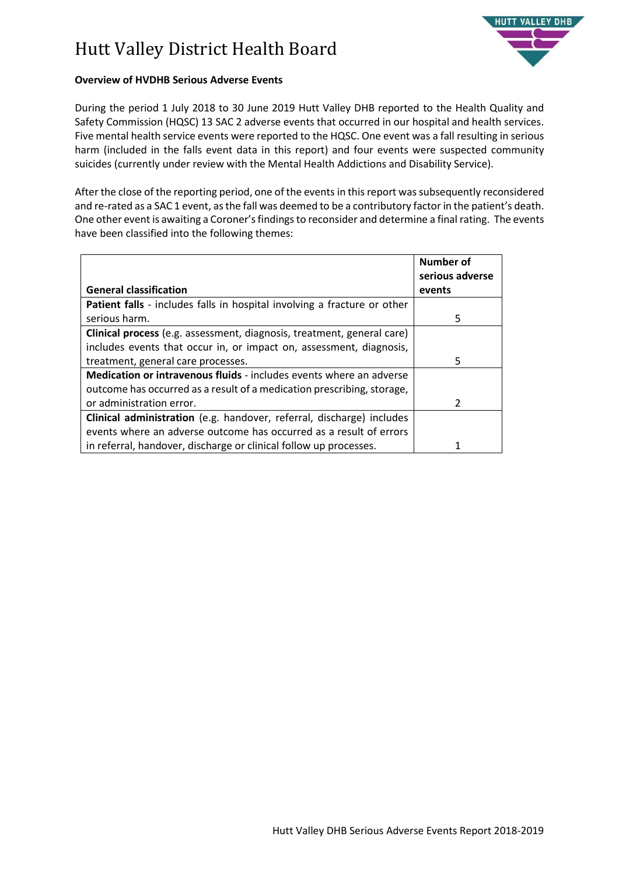# Hutt Valley District Health Board



#### **Overview of HVDHB Serious Adverse Events**

During the period 1 July 2018 to 30 June 2019 Hutt Valley DHB reported to the Health Quality and Safety Commission (HQSC) 13 SAC 2 adverse events that occurred in our hospital and health services. Five mental health service events were reported to the HQSC. One event was a fall resulting in serious harm (included in the falls event data in this report) and four events were suspected community suicides (currently under review with the Mental Health Addictions and Disability Service).

After the close of the reporting period, one of the events in this report was subsequently reconsidered and re-rated as a SAC 1 event, as the fall was deemed to be a contributory factor in the patient's death. One other event is awaiting a Coroner's findings to reconsider and determine a final rating. The events have been classified into the following themes:

|                                                                                 | Number of<br>serious adverse |
|---------------------------------------------------------------------------------|------------------------------|
| <b>General classification</b>                                                   | events                       |
| <b>Patient falls</b> - includes falls in hospital involving a fracture or other |                              |
| serious harm.                                                                   | 5                            |
| <b>Clinical process</b> (e.g. assessment, diagnosis, treatment, general care)   |                              |
| includes events that occur in, or impact on, assessment, diagnosis,             |                              |
| treatment, general care processes.                                              | 5                            |
| <b>Medication or intravenous fluids</b> - includes events where an adverse      |                              |
| outcome has occurred as a result of a medication prescribing, storage,          |                              |
| or administration error.                                                        | $\mathcal{P}$                |
| Clinical administration (e.g. handover, referral, discharge) includes           |                              |
| events where an adverse outcome has occurred as a result of errors              |                              |
| in referral, handover, discharge or clinical follow up processes.               |                              |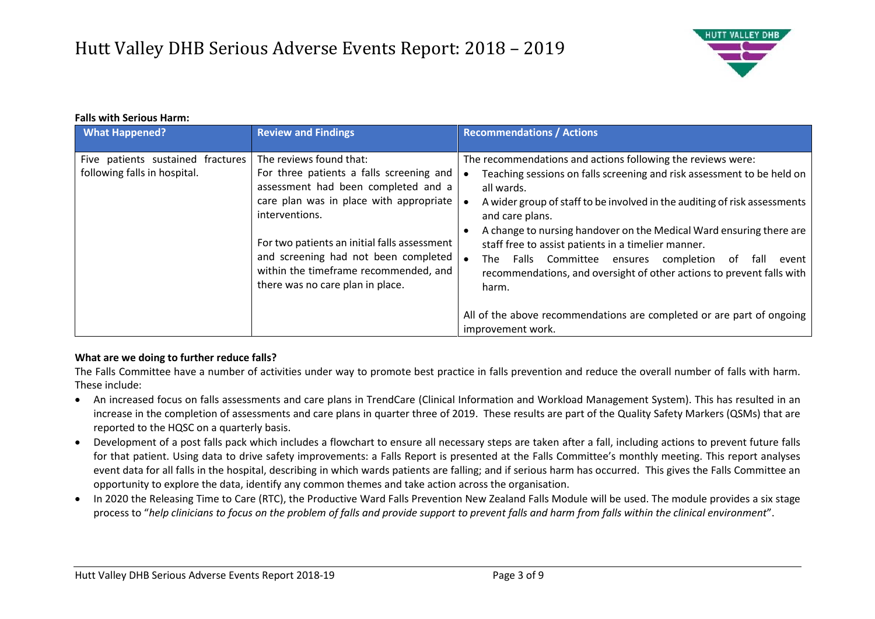

#### **Falls with Serious Harm:**

| <b>What Happened?</b>                                             | <b>Review and Findings</b>                                                                                                                                                                                                                                                                                                                   | <b>Recommendations / Actions</b>                                                                                                                                                                                                                                                                                                                                                                                                                                                                                                                                                                                                      |
|-------------------------------------------------------------------|----------------------------------------------------------------------------------------------------------------------------------------------------------------------------------------------------------------------------------------------------------------------------------------------------------------------------------------------|---------------------------------------------------------------------------------------------------------------------------------------------------------------------------------------------------------------------------------------------------------------------------------------------------------------------------------------------------------------------------------------------------------------------------------------------------------------------------------------------------------------------------------------------------------------------------------------------------------------------------------------|
| Five patients sustained fractures<br>following falls in hospital. | The reviews found that:<br>For three patients a falls screening and<br>assessment had been completed and a<br>care plan was in place with appropriate<br>interventions.<br>For two patients an initial falls assessment<br>and screening had not been completed<br>within the timeframe recommended, and<br>there was no care plan in place. | The recommendations and actions following the reviews were:<br>Teaching sessions on falls screening and risk assessment to be held on<br>all wards.<br>A wider group of staff to be involved in the auditing of risk assessments<br>and care plans.<br>A change to nursing handover on the Medical Ward ensuring there are<br>staff free to assist patients in a timelier manner.<br>Falls Committee ensures completion<br>fall<br>The<br>of<br>event<br>recommendations, and oversight of other actions to prevent falls with<br>harm.<br>All of the above recommendations are completed or are part of ongoing<br>improvement work. |

#### **What are we doing to further reduce falls?**

The Falls Committee have a number of activities under way to promote best practice in falls prevention and reduce the overall number of falls with harm. These include:

- An increased focus on falls assessments and care plans in TrendCare (Clinical Information and Workload Management System). This has resulted in an increase in the completion of assessments and care plans in quarter three of 2019. These results are part of the Quality Safety Markers (QSMs) that are reported to the HQSC on a quarterly basis.
- Development of a post falls pack which includes a flowchart to ensure all necessary steps are taken after a fall, including actions to prevent future falls for that patient. Using data to drive safety improvements: a Falls Report is presented at the Falls Committee's monthly meeting. This report analyses event data for all falls in the hospital, describing in which wards patients are falling; and if serious harm has occurred. This gives the Falls Committee an opportunity to explore the data, identify any common themes and take action across the organisation.
- In 2020 the Releasing Time to Care (RTC), the Productive Ward Falls Prevention New Zealand Falls Module will be used. The module provides a six stage process to "*help clinicians to focus on the problem of falls and provide support to prevent falls and harm from falls within the clinical environment*".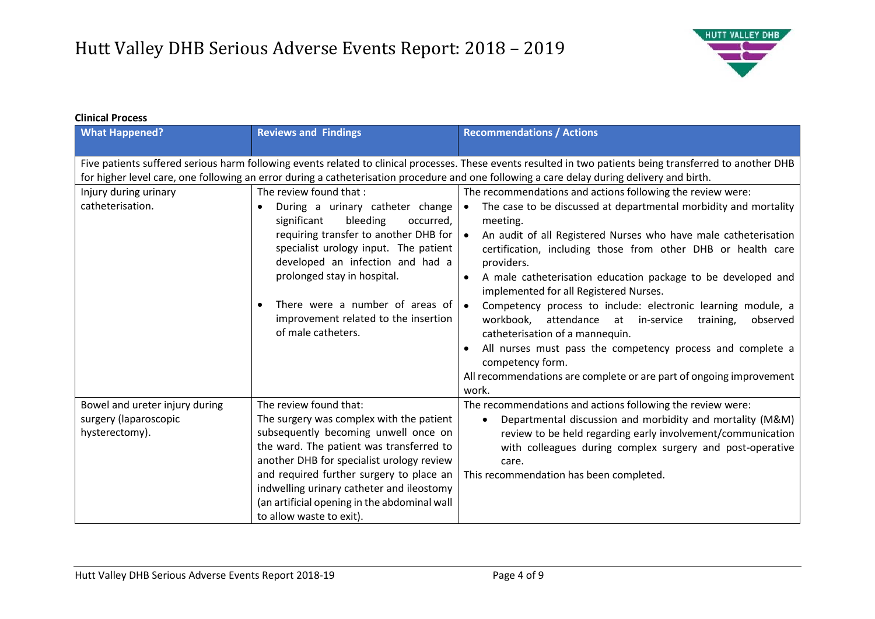

#### **Clinical Process**

| <b>What Happened?</b>                                                                                                                                                                                                                                                                                    | <b>Reviews and Findings</b>                                                                                                                                                                                                                                                                                                                                              | <b>Recommendations / Actions</b>                                                                                                                                                                                                                                                                                                                                                                                                                                                                                                                                                                                                                                                                                                                                                        |
|----------------------------------------------------------------------------------------------------------------------------------------------------------------------------------------------------------------------------------------------------------------------------------------------------------|--------------------------------------------------------------------------------------------------------------------------------------------------------------------------------------------------------------------------------------------------------------------------------------------------------------------------------------------------------------------------|-----------------------------------------------------------------------------------------------------------------------------------------------------------------------------------------------------------------------------------------------------------------------------------------------------------------------------------------------------------------------------------------------------------------------------------------------------------------------------------------------------------------------------------------------------------------------------------------------------------------------------------------------------------------------------------------------------------------------------------------------------------------------------------------|
| Five patients suffered serious harm following events related to clinical processes. These events resulted in two patients being transferred to another DHB<br>for higher level care, one following an error during a catheterisation procedure and one following a care delay during delivery and birth. |                                                                                                                                                                                                                                                                                                                                                                          |                                                                                                                                                                                                                                                                                                                                                                                                                                                                                                                                                                                                                                                                                                                                                                                         |
| Injury during urinary<br>catheterisation.                                                                                                                                                                                                                                                                | The review found that:<br>During a urinary catheter change<br>significant<br>bleeding<br>occurred,<br>requiring transfer to another DHB for<br>specialist urology input. The patient<br>developed an infection and had a<br>prolonged stay in hospital.<br>There were a number of areas of<br>improvement related to the insertion<br>of male catheters.                 | The recommendations and actions following the review were:<br>The case to be discussed at departmental morbidity and mortality<br>$\bullet$<br>meeting.<br>An audit of all Registered Nurses who have male catheterisation<br>∣ ●<br>certification, including those from other DHB or health care<br>providers.<br>A male catheterisation education package to be developed and<br>$\bullet$<br>implemented for all Registered Nurses.<br>Competency process to include: electronic learning module, a<br>$\bullet$<br>workbook, attendance at in-service<br>training,<br>observed<br>catheterisation of a mannequin.<br>All nurses must pass the competency process and complete a<br>competency form.<br>All recommendations are complete or are part of ongoing improvement<br>work. |
| Bowel and ureter injury during<br>surgery (laparoscopic<br>hysterectomy).                                                                                                                                                                                                                                | The review found that:<br>The surgery was complex with the patient<br>subsequently becoming unwell once on<br>the ward. The patient was transferred to<br>another DHB for specialist urology review<br>and required further surgery to place an<br>indwelling urinary catheter and ileostomy<br>(an artificial opening in the abdominal wall<br>to allow waste to exit). | The recommendations and actions following the review were:<br>Departmental discussion and morbidity and mortality (M&M)<br>$\bullet$<br>review to be held regarding early involvement/communication<br>with colleagues during complex surgery and post-operative<br>care.<br>This recommendation has been completed.                                                                                                                                                                                                                                                                                                                                                                                                                                                                    |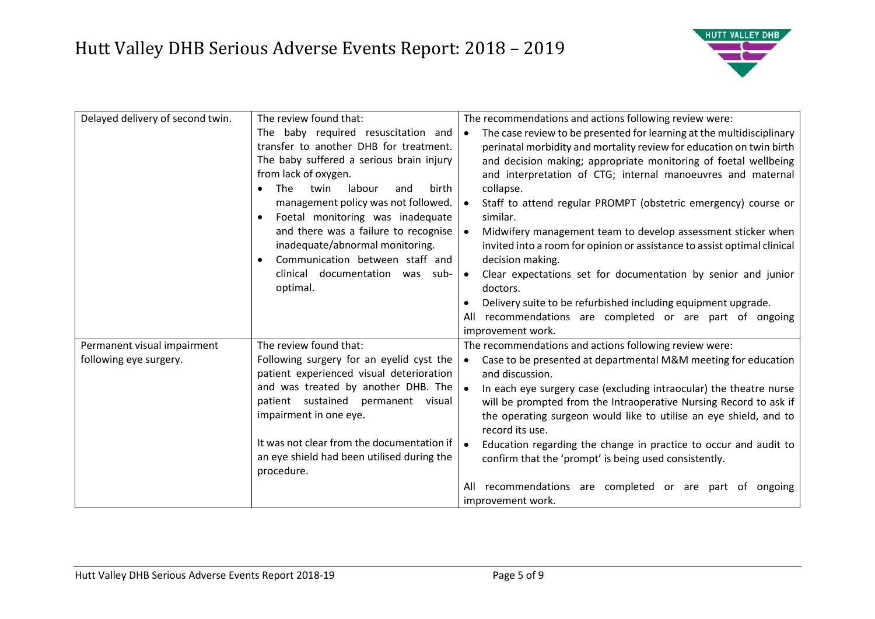

| Delayed delivery of second twin. | The review found that:                       | The recommendations and actions following review were:                             |
|----------------------------------|----------------------------------------------|------------------------------------------------------------------------------------|
|                                  | The baby required resuscitation and          | The case review to be presented for learning at the multidisciplinary<br>$\bullet$ |
|                                  | transfer to another DHB for treatment.       | perinatal morbidity and mortality review for education on twin birth               |
|                                  | The baby suffered a serious brain injury     | and decision making; appropriate monitoring of foetal wellbeing                    |
|                                  | from lack of oxygen.                         | and interpretation of CTG; internal manoeuvres and maternal                        |
|                                  | <b>The</b><br>labour<br>twin<br>birth<br>and | collapse.                                                                          |
|                                  | management policy was not followed.          | Staff to attend regular PROMPT (obstetric emergency) course or<br>$\bullet$        |
|                                  | Foetal monitoring was inadequate             | similar.                                                                           |
|                                  | and there was a failure to recognise         | Midwifery management team to develop assessment sticker when<br>$\bullet$          |
|                                  | inadequate/abnormal monitoring.              | invited into a room for opinion or assistance to assist optimal clinical           |
|                                  | Communication between staff and              | decision making.                                                                   |
|                                  | clinical documentation was sub-              | Clear expectations set for documentation by senior and junior<br>$\bullet$         |
|                                  | optimal.                                     | doctors.                                                                           |
|                                  |                                              | Delivery suite to be refurbished including equipment upgrade.                      |
|                                  |                                              | recommendations are completed or are part of ongoing<br>All                        |
|                                  |                                              | improvement work.                                                                  |
| Permanent visual impairment      | The review found that:                       | The recommendations and actions following review were:                             |
| following eye surgery.           | Following surgery for an eyelid cyst the     | Case to be presented at departmental M&M meeting for education<br>$\bullet$        |
|                                  | patient experienced visual deterioration     | and discussion.                                                                    |
|                                  | and was treated by another DHB. The          | In each eye surgery case (excluding intraocular) the theatre nurse<br>$\bullet$    |
|                                  | patient sustained permanent visual           | will be prompted from the Intraoperative Nursing Record to ask if                  |
|                                  | impairment in one eye.                       | the operating surgeon would like to utilise an eye shield, and to                  |
|                                  |                                              | record its use.                                                                    |
|                                  | It was not clear from the documentation if   | $\bullet$<br>Education regarding the change in practice to occur and audit to      |
|                                  | an eye shield had been utilised during the   | confirm that the 'prompt' is being used consistently.                              |
|                                  | procedure.                                   |                                                                                    |
|                                  |                                              | recommendations are completed or are part of ongoing<br>All                        |
|                                  |                                              | improvement work.                                                                  |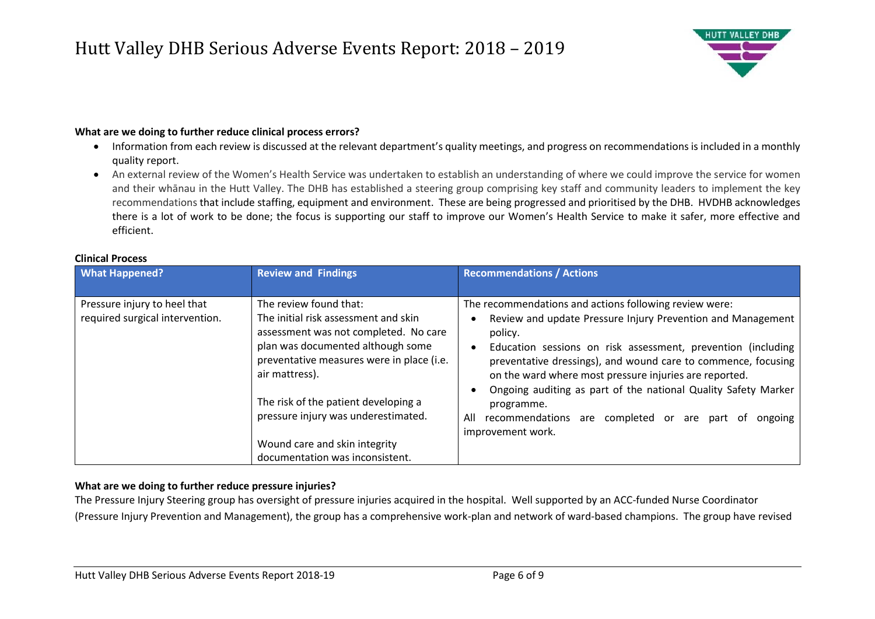### Hutt Valley DHB Serious Adverse Events Report: 2018 – 2019



#### **What are we doing to further reduce clinical process errors?**

- Information from each review is discussed at the relevant department's quality meetings, and progress on recommendations is included in a monthly quality report.
- An external review of the Women's Health Service was undertaken to establish an understanding of where we could improve the service for women and their whānau in the Hutt Valley. The DHB has established a steering group comprising key staff and community leaders to implement the key recommendations that include staffing, equipment and environment. These are being progressed and prioritised by the DHB. HVDHB acknowledges there is a lot of work to be done; the focus is supporting our staff to improve our Women's Health Service to make it safer, more effective and efficient.

| <b>What Happened?</b>                                           | <b>Review and Findings</b>                                                                                                                                                                                                                                                                                                                                     | <b>Recommendations / Actions</b>                                                                                                                                                                                                                                                                                                                                                                                                                                                                   |  |
|-----------------------------------------------------------------|----------------------------------------------------------------------------------------------------------------------------------------------------------------------------------------------------------------------------------------------------------------------------------------------------------------------------------------------------------------|----------------------------------------------------------------------------------------------------------------------------------------------------------------------------------------------------------------------------------------------------------------------------------------------------------------------------------------------------------------------------------------------------------------------------------------------------------------------------------------------------|--|
|                                                                 |                                                                                                                                                                                                                                                                                                                                                                |                                                                                                                                                                                                                                                                                                                                                                                                                                                                                                    |  |
| Pressure injury to heel that<br>required surgical intervention. | The review found that:<br>The initial risk assessment and skin<br>assessment was not completed. No care<br>plan was documented although some<br>preventative measures were in place (i.e.<br>air mattress).<br>The risk of the patient developing a<br>pressure injury was underestimated.<br>Wound care and skin integrity<br>documentation was inconsistent. | The recommendations and actions following review were:<br>Review and update Pressure Injury Prevention and Management<br>policy.<br>Education sessions on risk assessment, prevention (including<br>preventative dressings), and wound care to commence, focusing<br>on the ward where most pressure injuries are reported.<br>Ongoing auditing as part of the national Quality Safety Marker<br>programme.<br>recommendations are completed or are part of<br>All<br>ongoing<br>improvement work. |  |

#### **Clinical Process**

#### **What are we doing to further reduce pressure injuries?**

The Pressure Injury Steering group has oversight of pressure injuries acquired in the hospital. Well supported by an ACC-funded Nurse Coordinator (Pressure Injury Prevention and Management), the group has a comprehensive work-plan and network of ward-based champions. The group have revised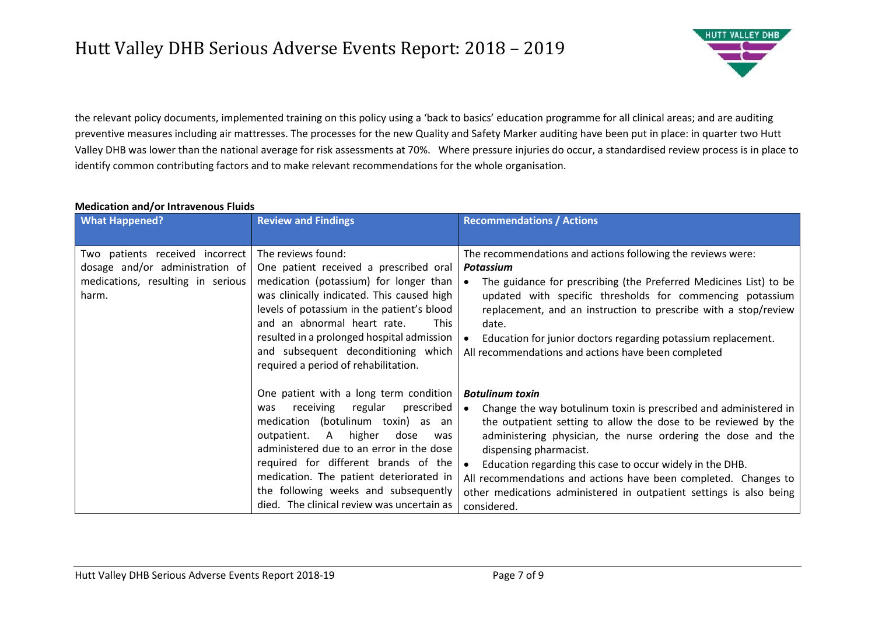# Hutt Valley DHB Serious Adverse Events Report: 2018 – 2019



the relevant policy documents, implemented training on this policy using a 'back to basics' education programme for all clinical areas; and are auditing preventive measures including air mattresses. The processes for the new Quality and Safety Marker auditing have been put in place: in quarter two Hutt Valley DHB was lower than the national average for risk assessments at 70%. Where pressure injuries do occur, a standardised review process is in place to identify common contributing factors and to make relevant recommendations for the whole organisation.

#### **Medication and/or Intravenous Fluids**

| <b>What Happened?</b>                                                                                            | <b>Review and Findings</b>                                                                                                                                                                                                                                                                                                                                                            | <b>Recommendations / Actions</b>                                                                                                                                                                                                                                                                                                                                                                                                                                                          |
|------------------------------------------------------------------------------------------------------------------|---------------------------------------------------------------------------------------------------------------------------------------------------------------------------------------------------------------------------------------------------------------------------------------------------------------------------------------------------------------------------------------|-------------------------------------------------------------------------------------------------------------------------------------------------------------------------------------------------------------------------------------------------------------------------------------------------------------------------------------------------------------------------------------------------------------------------------------------------------------------------------------------|
|                                                                                                                  |                                                                                                                                                                                                                                                                                                                                                                                       |                                                                                                                                                                                                                                                                                                                                                                                                                                                                                           |
| Two patients received incorrect<br>dosage and/or administration of<br>medications, resulting in serious<br>harm. | The reviews found:<br>One patient received a prescribed oral<br>medication (potassium) for longer than<br>was clinically indicated. This caused high<br>levels of potassium in the patient's blood<br>and an abnormal heart rate.<br><b>This</b><br>resulted in a prolonged hospital admission<br>and subsequent deconditioning which<br>required a period of rehabilitation.         | The recommendations and actions following the reviews were:<br>Potassium<br>The guidance for prescribing (the Preferred Medicines List) to be<br>$\bullet$<br>updated with specific thresholds for commencing potassium<br>replacement, and an instruction to prescribe with a stop/review<br>date.<br>Education for junior doctors regarding potassium replacement.<br>All recommendations and actions have been completed                                                               |
|                                                                                                                  | One patient with a long term condition<br>receiving<br>regular<br>prescribed<br>was<br>medication (botulinum toxin) as an<br>outpatient.<br>A higher dose<br>was<br>administered due to an error in the dose<br>required for different brands of the<br>medication. The patient deteriorated in<br>the following weeks and subsequently<br>died. The clinical review was uncertain as | <b>Botulinum toxin</b><br>Change the way botulinum toxin is prescribed and administered in<br>$\bullet$<br>the outpatient setting to allow the dose to be reviewed by the<br>administering physician, the nurse ordering the dose and the<br>dispensing pharmacist.<br>Education regarding this case to occur widely in the DHB.<br>All recommendations and actions have been completed. Changes to<br>other medications administered in outpatient settings is also being<br>considered. |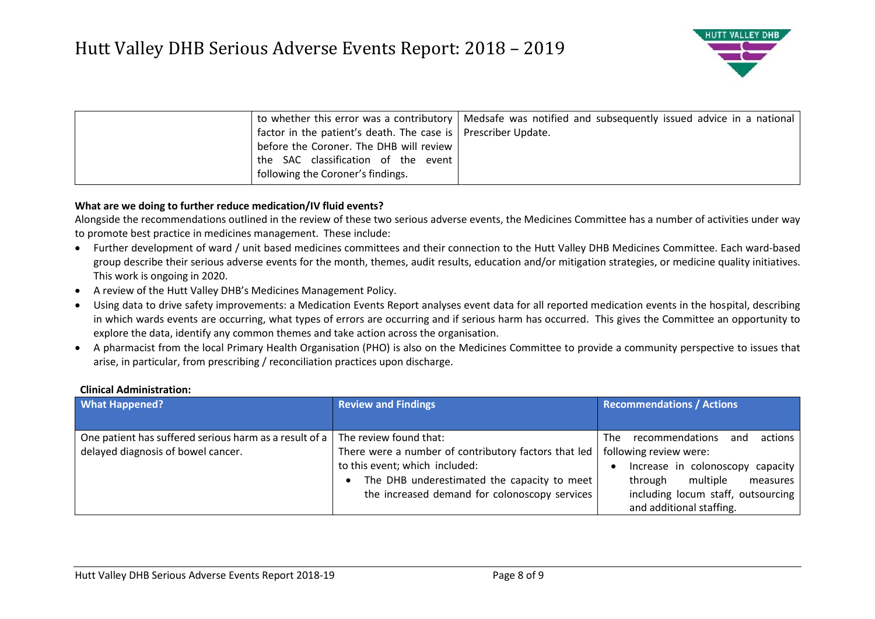

|                                                                 | to whether this error was a contributory   Medsafe was notified and subsequently issued advice in a national |
|-----------------------------------------------------------------|--------------------------------------------------------------------------------------------------------------|
| factor in the patient's death. The case is   Prescriber Update. |                                                                                                              |
| before the Coroner. The DHB will review                         |                                                                                                              |
| the SAC classification of the event                             |                                                                                                              |
| following the Coroner's findings.                               |                                                                                                              |

#### **What are we doing to further reduce medication/IV fluid events?**

Alongside the recommendations outlined in the review of these two serious adverse events, the Medicines Committee has a number of activities under way to promote best practice in medicines management. These include:

- Further development of ward / unit based medicines committees and their connection to the Hutt Valley DHB Medicines Committee. Each ward-based group describe their serious adverse events for the month, themes, audit results, education and/or mitigation strategies, or medicine quality initiatives. This work is ongoing in 2020.
- A review of the Hutt Valley DHB's Medicines Management Policy.
- Using data to drive safety improvements: a Medication Events Report analyses event data for all reported medication events in the hospital, describing in which wards events are occurring, what types of errors are occurring and if serious harm has occurred. This gives the Committee an opportunity to explore the data, identify any common themes and take action across the organisation.
- A pharmacist from the local Primary Health Organisation (PHO) is also on the Medicines Committee to provide a community perspective to issues that arise, in particular, from prescribing / reconciliation practices upon discharge.

#### **Clinical Administration:**

| <b>What Happened?</b>                                  | <b>Review and Findings</b>                           | <b>Recommendations / Actions</b>          |
|--------------------------------------------------------|------------------------------------------------------|-------------------------------------------|
|                                                        |                                                      |                                           |
| One patient has suffered serious harm as a result of a | The review found that:                               | actions<br>recommendations<br>Thel<br>and |
| delayed diagnosis of bowel cancer.                     | There were a number of contributory factors that led | following review were:                    |
|                                                        | to this event; which included:                       | Increase in colonoscopy capacity          |
|                                                        | The DHB underestimated the capacity to meet          | multiple<br>measures<br>through           |
|                                                        | the increased demand for colonoscopy services        | including locum staff, outsourcing        |
|                                                        |                                                      | and additional staffing.                  |